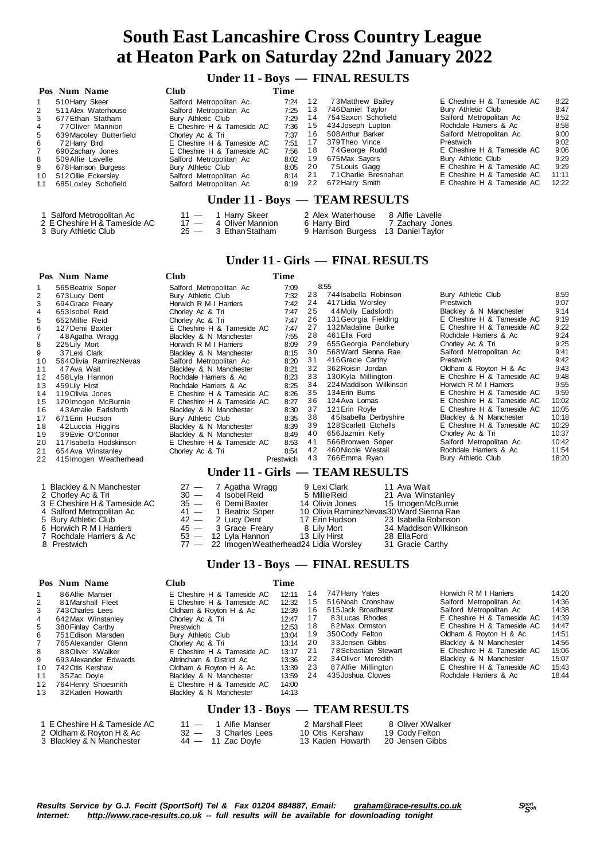# **South East Lancashire Cross Country League at Heaton Park on Saturday 22nd January 2022**

## **Under 11 - Boys — FINAL RESULTS**

|                      | Pos Num Name                   | <b>Club</b>                | Time    |    |                      |                            |       |  |  |  |
|----------------------|--------------------------------|----------------------------|---------|----|----------------------|----------------------------|-------|--|--|--|
| $\mathbf{1}$         | 510 Harry Skeer                | Salford Metropolitan Ac    | 7:24    | 12 | 73 Matthew Bailey    | E Cheshire H & Tameside AC | 8:22  |  |  |  |
| $\mathbf{2}^{\circ}$ | 511 Alex Waterhouse            | Salford Metropolitan Ac    | 7:25    | 13 | 746 Daniel Taylor    | Bury Athletic Club         | 8:47  |  |  |  |
| 3                    | 677 Ethan Statham              | Bury Athletic Club         | 7:29    | 14 | 754 Saxon Schofield  | Salford Metropolitan Ac    | 8:52  |  |  |  |
| $\overline{4}$       | 77 Oliver Mannion              | E Cheshire H & Tameside AC | 7:36    | 15 | 434 Joseph Lupton    | Rochdale Harriers & Ac     | 8:58  |  |  |  |
| 5                    | 639 Macoley Butterfield        | Chorley Ac & Tri           | 7:37    | 16 | 508 Arthur Barker    | Salford Metropolitan Ac    | 9:00  |  |  |  |
| 6                    | 72 Harry Bird                  | E Cheshire H & Tameside AC | 7:51    | 17 | 379Theo Vince        | Prestwich                  | 9:02  |  |  |  |
| $\overline{7}$       | 690 Zachary Jones              | E Cheshire H & Tameside AC | 7.56    | 18 | 74 George Rudd       | E Cheshire H & Tameside AC | 9:06  |  |  |  |
| 8                    | 509 Alfie Lavelle              | Salford Metropolitan Ac    | 8:02    | 19 | 675 Max Sayers       | Bury Athletic Club         | 9:29  |  |  |  |
| 9                    | 678 Harrison Burgess           | Bury Athletic Club         | 8:05 20 |    | 75 Louis Gagg        | E Cheshire H & Tameside AC | 9:29  |  |  |  |
| 10                   | 512 Ollie Eckersley            | Salford Metropolitan Ac    | 8:14    | 21 | 71 Charlie Bresnahan | E Cheshire H & Tameside AC | 11:11 |  |  |  |
| 11                   | 685 Loxley Schofield           | Salford Metropolitan Ac    | 8:19    | 22 | 672 Harry Smith      | E Cheshire H & Tameside AC | 12:22 |  |  |  |
|                      | Under 11 - Boys — TEAM RESULTS |                            |         |    |                      |                            |       |  |  |  |

| 1 Salford Metropolitan Ac      | $11 - 1$ Harry Skeer   | 2 Alex Waterhouse                   | 8 Alfie Lavelle |
|--------------------------------|------------------------|-------------------------------------|-----------------|
| 2 E Cheshire H & Tameside AC . | 17 — 4 Oliver Mannion  | 6 Harrv Bird                        | 7 Zachary Jones |
| 3 Burv Athletic Club           | $25 - 3$ Ethan Statham | 9 Harrison Burgess 13 Daniel Taylor |                 |

#### **Under 11 - Girls — FINAL RESULTS**

|    | Pos Num Name             | <b>Club</b>                | Time      |    |                                 |                            |       |
|----|--------------------------|----------------------------|-----------|----|---------------------------------|----------------------------|-------|
|    | 565 Beatrix Soper        | Salford Metropolitan Ac    | 7:09      |    | 8:55                            |                            |       |
| 2  | 673 Lucy Dent            | Bury Athletic Club         | 7:32      | 23 | 744 Isabella Robinson           | Bury Athletic Club         | 8:59  |
| 3  | 694 Grace Freary         | Horwich R M I Harriers     | 7:42      | 24 | 417 Lidia Worsley               | Prestwich                  | 9:07  |
| 4  | 653 Isobel Reid          | Chorley Ac & Tri           | 7:47      | 25 | 44 Molly Eadsforth              | Blackley & N Manchester    | 9:14  |
| 5  | 652 Millie Reid          | Chorley Ac & Tri           | 7:47      | 26 | 131 Georgia Fielding            | E Cheshire H & Tameside AC | 9:19  |
| 6  | 127 Demi Baxter          | E Cheshire H & Tameside AC | 7:47      | 27 | 132 Madaline Burke              | E Cheshire H & Tameside AC | 9:22  |
|    | 48 Agatha Wragg          | Blackley & N Manchester    | 7:55      | 28 | 461 Ella Ford                   | Rochdale Harriers & Ac     | 9:24  |
| 8  | 225 Lily Mort            | Horwich R M I Harriers     | 8:09      | 29 | 655 Georgia Pendlebury          | Chorley Ac & Tri           | 9:25  |
| 9  | 37 Lexi Clark            | Blackley & N Manchester    | 8:15      | 30 | 568 Ward Sienna Rae             | Salford Metropolitan Ac    | 9:41  |
| 10 | 564 Olivia Ramirez Nevas | Salford Metropolitan Ac    | 8:20      | 31 | 416 Gracie Carthy               | <b>Prestwich</b>           | 9:42  |
| 11 | 47 Ava Wait              | Blackley & N Manchester    | 8:21      | 32 | 362 Roisin Jordan               | Oldham & Royton H & Ac     | 9:43  |
| 12 | 458 Lyla Hannon          | Rochdale Harriers & Ac     | 8:23      | 33 | 130Kyla Millington              | E Cheshire H & Tameside AC | 9:48  |
| 13 | 459 Lily Hirst           | Rochdale Harriers & Ac     | 8:25      | 34 | 224 Maddison Wilkinson          | Horwich R M I Harriers     | 9:55  |
| 14 | 119 Olivia Jones         | E Cheshire H & Tameside AC | 8:26      | 35 | 134 Erin Burns                  | E Cheshire H & Tameside AC | 9:59  |
| 15 | 120 Imogen McBurnie      | E Cheshire H & Tameside AC | 8:27      | 36 | 124 Ava Lomas                   | E Cheshire H & Tameside AC | 10:02 |
| 16 | 43 Amalie Eadsforth      | Blackley & N Manchester    | 8:30      | 37 | 121 Erin Royle                  | E Cheshire H & Tameside AC | 10:05 |
| 17 | 671 Erin Hudson          | Bury Athletic Club         | 8:35      | 38 | 45 Isabella Derbyshire          | Blackley & N Manchester    | 10:18 |
| 18 | 42 Luccia Higgins        | Blackley & N Manchester    | 8:39      | 39 | 128 Scarlett Etchells           | E Cheshire H & Tameside AC | 10:29 |
| 19 | 39 Evie O'Connor         | Blackley & N Manchester    | 8.49      | 40 | 656 Jazmin Kelly                | Chorley Ac & Tri           | 10:37 |
| 20 | 117 Isabella Hodskinson  | E Cheshire H & Tameside AC | 8:53      | 41 | 566Bronwen Soper                | Salford Metropolitan Ac    | 10:42 |
| 21 | 654 Ava Winstanley       | Chorley Ac & Tri           | 8:54      | 42 | 460 Nicole Westall              | Rochdale Harriers & Ac     | 11:54 |
| 22 | 415 Imogen Weatherhead   |                            | Prestwich | 43 | 766 Emma Ryan                   | Bury Athletic Club         | 18:20 |
|    |                          |                            |           |    | Under 11 - Girls — TEAM RESULTS |                            |       |

| 1 Blackley & N Manchester<br>2 Chorley Ac & Tri<br>3 E Cheshire H & Tameside AC<br>4 Salford Metropolitan Ac<br>5 Bury Athletic Club<br>6 Horwich R M I Harriers |  | 27 — 7 Agatha Wragg<br>$30 - 4$ Isobel Reid<br>35 — 6 Demi Baxter<br>41 - 1 Beatrix Soper<br>42 - 2 Lucy Dent<br>$45 - 3$ Grace Freary | 9 Lexi Clark<br>5 Millie Reid<br>14 Olivia Jones<br>17 Erin Hudson<br>8 Lilv Mort | 11 Ava Wait<br>21 Ava Winstanley<br>15 Imogen McBurnie<br>10 Olivia RamirezNevas30 Ward Sienna Rae<br>23 Isabella Robinson<br>34 Maddison Wilkinson |
|------------------------------------------------------------------------------------------------------------------------------------------------------------------|--|----------------------------------------------------------------------------------------------------------------------------------------|-----------------------------------------------------------------------------------|-----------------------------------------------------------------------------------------------------------------------------------------------------|
| 7 Rochdale Harriers & Ac<br>8 Prestwich                                                                                                                          |  | $53 - 12$ Lyla Hannon<br>77 - 22 Imogen Weatherhead 24 Lidia Worsley                                                                   | 13 Lilv Hirst                                                                     | 28 Ella Ford<br>31 Gracie Carthy                                                                                                                    |

#### **Under 13 - Boys — FINAL RESULTS**

|                     | Club                                                                             | Time               |      |                      |                            |       |
|---------------------|----------------------------------------------------------------------------------|--------------------|------|----------------------|----------------------------|-------|
| 86 Alfie Manser     | E Cheshire H & Tameside AC                                                       | 12:11              | 14   | 747 Harry Yates      | Horwich R M I Harriers     | 14:20 |
| 81 Marshall Fleet   | E Cheshire H & Tameside AC                                                       | 12:32              | 15   | 516 Noah Cronshaw    | Salford Metropolitan Ac    | 14:36 |
| 743 Charles Lees    | Oldham & Royton H & Ac                                                           | 12:39              | 16   | 515 Jack Broadhurst  | Salford Metropolitan Ac    | 14:38 |
|                     | Chorley Ac & Tri                                                                 | 12:47              | 17   | 83 Lucas Rhodes      | E Cheshire H & Tameside AC | 14:39 |
|                     | Prestwich                                                                        | 12:53              | 18   | 82Max Ormston        | E Cheshire H & Tameside AC | 14:47 |
| 751 Edison Marsden  |                                                                                  | 13:04              | 19   | 350 Cody Felton      | Oldham & Royton H & Ac     | 14:51 |
| 765 Alexander Glenn | Chorley Ac & Tri                                                                 | 13:14              | - 20 | 33 Jensen Gibbs      | Blackley & N Manchester    | 14:56 |
| 88 Oliver XWalker   | E Cheshire H & Tameside AC                                                       | 13:17              | -21  | 78 Sebastian Stewart | E Cheshire H & Tameside AC | 15:06 |
|                     | Altrincham & District Ac                                                         | 13:36              | - 22 | 34 Oliver Meredith   | Blackley & N Manchester    | 15:07 |
| 742 Otis Kershaw    | Oldham & Royton H & Ac                                                           | 13:39              |      | 87Alfie Millington   | E Cheshire H & Tameside AC | 15:43 |
| 35Zac Dovle         | Blackley & N Manchester                                                          | 13:59              | 24   | 435 Joshua Clowes    | Rochdale Harriers & Ac     | 18:44 |
| 764 Henry Shoesmith | E Cheshire H & Tameside AC                                                       | 14:00              |      |                      |                            |       |
| 32Kaden Howarth     | Blackley & N Manchester                                                          | 14:13              |      |                      |                            |       |
|                     | Pos Num Name<br>642 Max Winstanley<br>380 Finlay Carthy<br>693 Alexander Edwards | Bury Athletic Club |      | - 23                 |                            |       |

#### **Under 13 - Boys — TEAM RESULTS**

| 1 E Cheshire H & Tameside AC . | $11 - 1$ Alfie Manser | 2 Marshall Fleet | 8 Oliver XWalker  |
|--------------------------------|-----------------------|------------------|-------------------|
| 2  Oldham & Rovton H & Ac .    | $32 - 3$ Charles Lees | 10 Otis Kershaw  | 19 Cody Felton    |
| 3 Blacklev & N Manchester      | $44 - 11$ Zac Dovle   | 13 Kaden Howarth | - 20 Jensen Gibbs |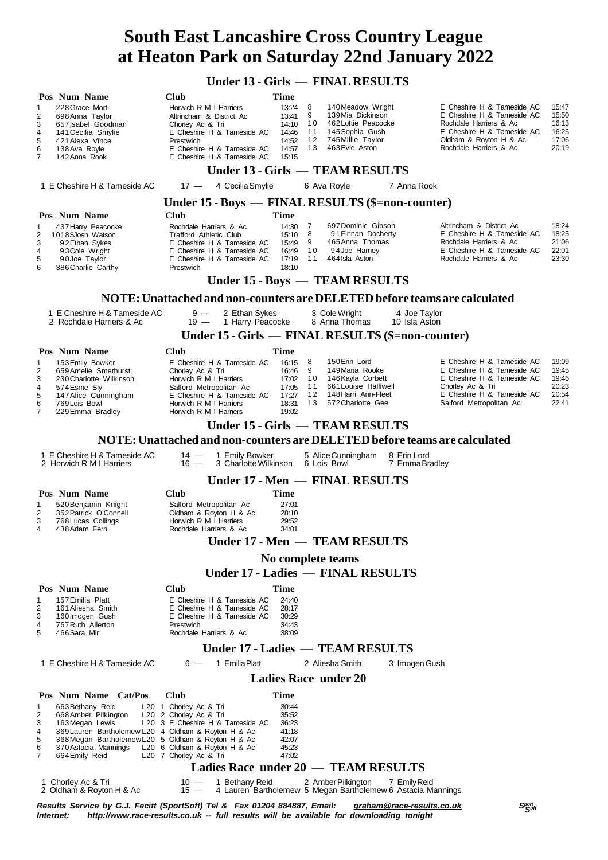# **South East Lancashire Cross Country League at Heaton Park on Saturday 22nd January 2022**

## **Under 13 - Girls — FINAL RESULTS**

| Pos Num Name                                                                                                                                                                                                                                                                                        | Club                                                                                                                                                                                                                      | Time                                                                                      |                                                                                                                                       |                               |                                                                                                                                                                      |                                                    |  |  |  |  |  |  |
|-----------------------------------------------------------------------------------------------------------------------------------------------------------------------------------------------------------------------------------------------------------------------------------------------------|---------------------------------------------------------------------------------------------------------------------------------------------------------------------------------------------------------------------------|-------------------------------------------------------------------------------------------|---------------------------------------------------------------------------------------------------------------------------------------|-------------------------------|----------------------------------------------------------------------------------------------------------------------------------------------------------------------|----------------------------------------------------|--|--|--|--|--|--|
| 228 Grace Mort<br>1<br>2<br>698 Anna Taylor<br>3<br>657 Isabel Goodman<br>4<br>141 Cecilia Smylie<br>5<br>421 Alexa Vince<br>6<br>138 Ava Royle<br>$\overline{7}$<br>142 Anna Rook                                                                                                                  | Horwich R M I Harriers<br>Altrincham & District Ac<br>Chorley Ac & Tri<br>E Cheshire H & Tameside AC<br>Prestwich<br>E Cheshire H & Tameside AC<br>E Cheshire H & Tameside AC                                             | 8<br>13:24<br>9<br>13:41<br>10<br>14:10<br>11<br>14:46<br>14:52<br>13<br>14:57<br>15:15   | 140 Meadow Wright<br>139 Mia Dickinson<br>462 Lottie Peacocke<br>145 Sophia Gush<br>12<br>745 Millie Taylor<br>463 Evie Aston         |                               | E Cheshire H & Tameside AC<br>E Cheshire H & Tameside AC<br>Rochdale Harriers & Ac<br>E Cheshire H & Tameside AC<br>Oldham & Royton H & Ac<br>Rochdale Harriers & Ac | 15:47<br>15:50<br>16:13<br>16:25<br>17:06<br>20:19 |  |  |  |  |  |  |
|                                                                                                                                                                                                                                                                                                     |                                                                                                                                                                                                                           |                                                                                           | Under 13 - Girls — TEAM RESULTS                                                                                                       |                               |                                                                                                                                                                      |                                                    |  |  |  |  |  |  |
| 1 E Cheshire H & Tameside AC                                                                                                                                                                                                                                                                        | $17 -$<br>4 Cecilia Smylie                                                                                                                                                                                                |                                                                                           | 6 Ava Royle                                                                                                                           | 7 Anna Rook                   |                                                                                                                                                                      |                                                    |  |  |  |  |  |  |
|                                                                                                                                                                                                                                                                                                     | Under 15 - Boys — FINAL RESULTS (\$=non-counter)                                                                                                                                                                          |                                                                                           |                                                                                                                                       |                               |                                                                                                                                                                      |                                                    |  |  |  |  |  |  |
| Pos Num Name                                                                                                                                                                                                                                                                                        | <b>Club</b>                                                                                                                                                                                                               | Time                                                                                      |                                                                                                                                       |                               |                                                                                                                                                                      |                                                    |  |  |  |  |  |  |
| 1<br>437 Harry Peacocke<br>$\overline{\mathbf{c}}$<br>1018\$Josh Watson<br>3<br>92 Ethan Sykes<br>4<br>93 Cole Wright<br>5<br>90Joe Taylor<br>6<br>386 Charlie Carthy                                                                                                                               | Rochdale Harriers & Ac<br>Trafford Athletic Club<br>E Cheshire H & Tameside AC<br>E Cheshire H & Tameside AC<br>E Cheshire H & Tameside AC<br>Prestwich                                                                   | 7<br>14:30<br>8<br>15:10<br>9<br>15:49<br>10<br>16:49<br>11<br>17:19<br>18:10             | 697 Dominic Gibson<br>91 Finnan Docherty<br>465 Anna Thomas<br>94Joe Harney<br>464 Isla Aston                                         |                               | Altrincham & District Ac<br>E Cheshire H & Tameside AC<br>Rochdale Harriers & Ac<br>E Cheshire H & Tameside AC<br>Rochdale Harriers & Ac                             | 18:24<br>18:25<br>21:06<br>22:01<br>23:30          |  |  |  |  |  |  |
| Under 15 - Boys - TEAM RESULTS                                                                                                                                                                                                                                                                      |                                                                                                                                                                                                                           |                                                                                           |                                                                                                                                       |                               |                                                                                                                                                                      |                                                    |  |  |  |  |  |  |
|                                                                                                                                                                                                                                                                                                     | NOTE: Unattached and non-counters are DELETED before teams are calculated                                                                                                                                                 |                                                                                           |                                                                                                                                       |                               |                                                                                                                                                                      |                                                    |  |  |  |  |  |  |
| 1 E Cheshire H & Tameside AC<br>2 Rochdale Harriers & Ac                                                                                                                                                                                                                                            | $9 -$<br>2 Ethan Sykes<br>$19 -$<br>1 Harry Peacocke                                                                                                                                                                      |                                                                                           | 3 Cole Wright<br>8 Anna Thomas                                                                                                        | 4 Joe Taylor<br>10 Isla Aston |                                                                                                                                                                      |                                                    |  |  |  |  |  |  |
|                                                                                                                                                                                                                                                                                                     | Under 15 - Girls — FINAL RESULTS (\$=non-counter)                                                                                                                                                                         |                                                                                           |                                                                                                                                       |                               |                                                                                                                                                                      |                                                    |  |  |  |  |  |  |
| Pos Num Name<br>153 Emily Bowker<br>$\mathbf{1}$<br>$\overline{c}$<br>659 Amelie Smethurst<br>3<br>230 Charlotte Wilkinson<br>4<br>574 Esme Sly<br>5<br>147 Alice Cunningham<br>6<br>769 Lois Bowl<br>$\overline{7}$<br>229 Emma Bradley                                                            | <b>Club</b><br>E Cheshire H & Tameside AC<br>Chorley Ac & Tri<br>Horwich R M I Harriers<br>Salford Metropolitan Ac<br>E Cheshire H & Tameside AC<br>Horwich R M I Harriers<br>Horwich R M I Harriers                      | Time<br>8<br>16:15<br>9<br>16:46<br>10<br>17:02<br>11<br>17:05<br>17:27<br>18:31<br>19:02 | 150 Erin Lord<br>149 Maria Rooke<br>146 Kayla Corbett<br>661 Louise Halliwell<br>12<br>148 Harri Ann-Fleet<br>13<br>572 Charlotte Gee |                               | E Cheshire H & Tameside AC<br>E Cheshire H & Tameside AC<br>E Cheshire H & Tameside AC<br>Chorley Ac & Tri<br>E Cheshire H & Tameside AC<br>Salford Metropolitan Ac  | 19:09<br>19:45<br>19:46<br>20:23<br>20:54<br>22:41 |  |  |  |  |  |  |
|                                                                                                                                                                                                                                                                                                     |                                                                                                                                                                                                                           |                                                                                           | Under 15 - Girls — TEAM RESULTS                                                                                                       |                               |                                                                                                                                                                      |                                                    |  |  |  |  |  |  |
| NOTE: Unattached and non-counters are DELETED before teams are calculated                                                                                                                                                                                                                           |                                                                                                                                                                                                                           |                                                                                           |                                                                                                                                       |                               |                                                                                                                                                                      |                                                    |  |  |  |  |  |  |
| 1 E Cheshire H & Tameside AC<br>2 Horwich R M I Harriers                                                                                                                                                                                                                                            | 1 Emily Bowker<br>$14 -$<br>$16 -$<br>3 Charlotte Wilkinson 6 Lois Bowl                                                                                                                                                   |                                                                                           | 5 Alice Cunningham                                                                                                                    | 8 Erin Lord<br>7 Emma Bradley |                                                                                                                                                                      |                                                    |  |  |  |  |  |  |
|                                                                                                                                                                                                                                                                                                     |                                                                                                                                                                                                                           |                                                                                           | Under 17 - Men — FINAL RESULTS                                                                                                        |                               |                                                                                                                                                                      |                                                    |  |  |  |  |  |  |
| Pos Num Name<br>520 Benjamin Knight<br>1<br>$\overline{2}$<br>352 Patrick O'Connell<br>3<br>768 Lucas Collings<br>$\overline{4}$<br>438 Adam Fern                                                                                                                                                   | <b>Club</b><br>Salford Metropolitan Ac<br>Oldham & Royton H & Ac<br>Horwich R M I Harriers<br>Rochdale Harriers & Ac                                                                                                      | <b>Time</b><br>27:01<br>28:10<br>29:52<br>34:01                                           | Under 17 - Men - TEAM RESULTS                                                                                                         |                               |                                                                                                                                                                      |                                                    |  |  |  |  |  |  |
|                                                                                                                                                                                                                                                                                                     |                                                                                                                                                                                                                           |                                                                                           | No complete teams                                                                                                                     |                               |                                                                                                                                                                      |                                                    |  |  |  |  |  |  |
|                                                                                                                                                                                                                                                                                                     |                                                                                                                                                                                                                           |                                                                                           | <b>Under 17 - Ladies — FINAL RESULTS</b>                                                                                              |                               |                                                                                                                                                                      |                                                    |  |  |  |  |  |  |
| Pos Num Name                                                                                                                                                                                                                                                                                        | Club                                                                                                                                                                                                                      | Time                                                                                      |                                                                                                                                       |                               |                                                                                                                                                                      |                                                    |  |  |  |  |  |  |
| 157 Emilia Platt<br>1<br>$\overline{c}$<br>161 Aliesha Smith<br>3<br>160 Imogen Gush<br>4<br>767 Ruth Allerton<br>5<br>466 Sara Mir                                                                                                                                                                 | E Cheshire H & Tameside AC<br>E Cheshire H & Tameside AC<br>E Cheshire H & Tameside AC<br>Prestwich<br>Rochdale Harriers & Ac                                                                                             | 24:40<br>28:17<br>30:29<br>34:43<br>38:09                                                 |                                                                                                                                       |                               |                                                                                                                                                                      |                                                    |  |  |  |  |  |  |
|                                                                                                                                                                                                                                                                                                     |                                                                                                                                                                                                                           |                                                                                           | Under 17 - Ladies — TEAM RESULTS                                                                                                      |                               |                                                                                                                                                                      |                                                    |  |  |  |  |  |  |
| 1 E Cheshire H & Tameside AC                                                                                                                                                                                                                                                                        | 1 Emilia Platt<br>$6 -$                                                                                                                                                                                                   |                                                                                           | 2 Aliesha Smith                                                                                                                       | 3 Imogen Gush                 |                                                                                                                                                                      |                                                    |  |  |  |  |  |  |
|                                                                                                                                                                                                                                                                                                     |                                                                                                                                                                                                                           |                                                                                           | <b>Ladies Race under 20</b>                                                                                                           |                               |                                                                                                                                                                      |                                                    |  |  |  |  |  |  |
| Pos Num Name Cat/Pos<br>663 Bethany Reid<br>1<br>2<br>668 Amber Pilkington<br>3<br>163 Megan Lewis<br>369 Lauren Bartholemew L20 4 Oldham & Royton H & Ac<br>4<br>5<br>368 Megan Bartholemew L20 5 Oldham & Royton H & Ac<br>6<br>370 Astacia Mannings<br>7<br>664 Emily Reid<br>1 Chorley Ac & Tri | Club<br>L20 1 Chorley Ac & Tri<br>L20 2 Chorley Ac & Tri<br>L20 3 E Cheshire H & Tameside AC<br>L20 6 Oldham & Royton H & Ac<br>L20 7 Chorley Ac & Tri<br>Ladies Race under 20 - TEAM RESULTS<br>1 Bethany Reid<br>$10 -$ | Time<br>30:44<br>35:52<br>36:23<br>41:18<br>42:07<br>45:23<br>47:02                       | 2 Amber Pilkington                                                                                                                    | 7 Emily Reid                  |                                                                                                                                                                      |                                                    |  |  |  |  |  |  |
| 2 Oldham & Royton H & Ac                                                                                                                                                                                                                                                                            | $15 -$                                                                                                                                                                                                                    |                                                                                           | 4 Lauren Bartholemew 5 Megan Bartholemew 6 Astacia Mannings                                                                           |                               |                                                                                                                                                                      |                                                    |  |  |  |  |  |  |

Results Service by G.J. Fecitt (SportSoft) Tel & Fax 01204 884887, Email: <u>[graham@race-results.co.uk](mailto:graham@race-results.co.uk)</u> S<sup>oon</sup><br>Internet: <u><http://www.race-results.co.uk></u> -- full results will be available for downloading tonight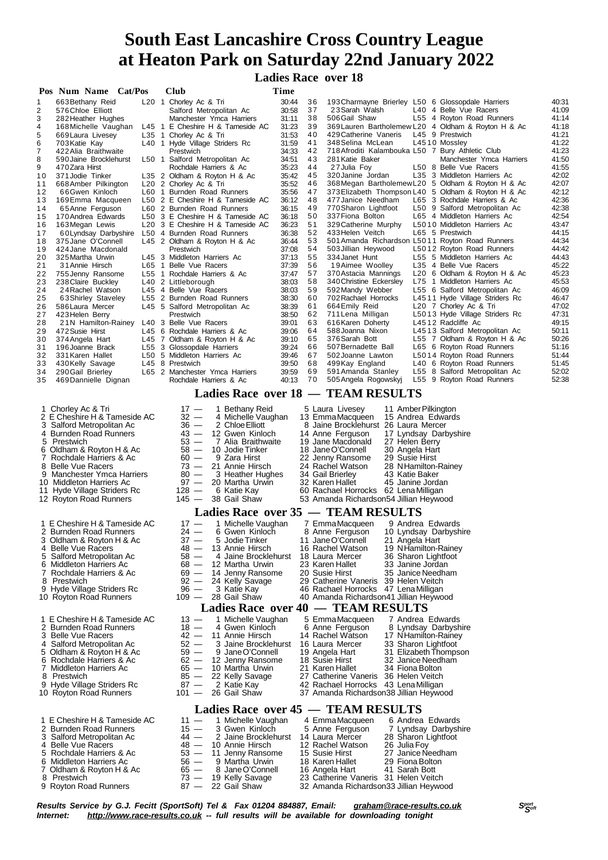# **South East Lancashire Cross Country League at Heaton Park on Saturday 22nd January 2022**

 **Ladies Race over 18**

|          | Pos Num Name Cat/Pos                                          |  | Club                                                                     | Time           |          |                                                                                |                                  |                                                                 |                                                     |                |  |
|----------|---------------------------------------------------------------|--|--------------------------------------------------------------------------|----------------|----------|--------------------------------------------------------------------------------|----------------------------------|-----------------------------------------------------------------|-----------------------------------------------------|----------------|--|
| 1        | 663 Bethany Reid                                              |  | L20 1 Chorley Ac & Tri                                                   | 30:44          | 36       | 193 Charmayne Brierley L50 6 Glossopdale Harriers                              |                                  |                                                                 |                                                     | 40:31          |  |
| 2<br>3   | 576 Chloe Elliott<br>282 Heather Hughes                       |  | Salford Metropolitan Ac<br>Manchester Ymca Harriers                      | 30:58<br>31:11 | 37<br>38 | 23 Sarah Walsh<br>506 Gail Shaw                                                |                                  | L40 4 Belle Vue Racers<br>L55 4 Royton Road Runners             |                                                     | 41:09<br>41:14 |  |
| 4        | 168 Michelle Vaughan                                          |  | L45 1 E Cheshire H & Tameside AC                                         | 31:23          | 39       |                                                                                |                                  |                                                                 | 369 Lauren Bartholemew L20 4 Oldham & Royton H & Ac | 41:18          |  |
| 5        | 669 Laura Livesey                                             |  | L35 1 Chorley Ac & Tri                                                   | 31:53          | 40<br>41 | 429 Catherine Vaneris                                                          |                                  | L45 9 Prestwich                                                 |                                                     | 41:21<br>41:22 |  |
| 6<br>7   | 703 Katie Kay<br>422 Alia Braithwaite                         |  | L40 1 Hyde Village Striders Rc<br>Prestwich                              | 31.59<br>34:33 | 42       | 348 Selina McLean<br>718 Afroditi Kalambouka L50 7 Bury Athletic Club          |                                  | L4510 Mossley                                                   |                                                     | 41:23          |  |
| 8        | 590 Jaine Brocklehurst                                        |  | L50 1 Salford Metropolitan Ac                                            | 34:51          | 43       | 281 Katie Baker                                                                |                                  |                                                                 | Manchester Ymca Harriers                            | 41:50          |  |
| 9        | 470 Zara Hirst                                                |  | Rochdale Harriers & Ac                                                   | 35:23          | 44<br>45 | 27 Julia Foy<br>320 Janine Jordan                                              |                                  | L50 8 Belle Vue Racers<br>L35 3 Middleton Harriers Ac           |                                                     | 41:55<br>42:02 |  |
| 10<br>11 | 371 Jodie Tinker<br>668 Amber Pilkington                      |  | L35 2 Oldham & Royton H & Ac<br>L20 2 Chorley Ac & Tri                   | 35:42<br>35:52 | 46       | 368Megan Bartholemew L20 5 Oldham & Royton H & Ac                              |                                  |                                                                 |                                                     | 42:07          |  |
| 12       | 66Gwen Kinloch                                                |  | L60 1 Burnden Road Runners                                               | 35.56          | 47       |                                                                                |                                  |                                                                 | 373 Elizabeth Thompson L40 5 Oldham & Royton H & Ac | 42:12          |  |
| 13<br>14 | 169 Emma Macqueen<br>65Anne Ferguson                          |  | L50 2 E Cheshire H & Tameside AC<br>L60 2 Burnden Road Runners           | 36:12<br>36:15 | 48<br>49 | 477 Janice Needham<br>770 Sharon Lightfoot                                     |                                  | L65 3 Rochdale Harriers & Ac<br>L50 9 Salford Metropolitan Ac   |                                                     | 42:36<br>42:38 |  |
| 15       | 170 Andrea Edwards                                            |  | L50 3 E Cheshire H & Tameside AC                                         | 36:18          | 50       | 337 Fiona Bolton                                                               |                                  | L65 4 Middleton Harriers Ac                                     |                                                     | 42:54          |  |
| 16       | 163 Megan Lewis                                               |  | L20 3 E Cheshire H & Tameside AC                                         | 36:23          | 51       | 329 Catherine Murphy                                                           |                                  | L5010 Middleton Harriers Ac                                     |                                                     | 43:47          |  |
| 17<br>18 | 60 Lyndsay Darbyshire<br>375 Jane O'Connell                   |  | L50 4 Burnden Road Runners<br>L45 2 Oldham & Royton H & Ac               | 36:38<br>36:44 | 52<br>53 | 433 Helen Veitch<br>501 Amanda Richardson L5011 Royton Road Runners            |                                  | L65 5 Prestwich                                                 |                                                     | 44:15<br>44:34 |  |
| 19       | 424 Jane Macdonald                                            |  | Prestwich                                                                | 37:08          | 54       | 503 Jillian Heywood                                                            |                                  | L5012 Royton Road Runners                                       |                                                     | 44:42          |  |
| 20       | 325 Martha Urwin                                              |  | L45 3 Middleton Harriers Ac                                              | 37:13          | 55<br>56 | 334 Janet Hunt<br>19Aimee Woolley                                              |                                  | L55 5 Middleton Harriers Ac<br>L35 4 Belle Vue Racers           |                                                     | 44:43<br>45:22 |  |
| 21<br>22 | 31 Annie Hirsch<br>755 Jenny Ransome                          |  | L65 1 Belle Vue Racers<br>L55 1 Rochdale Harriers & Ac                   | 37:39<br>37:47 | 57       | 370 Astacia Mannings                                                           |                                  |                                                                 | L20 6 Oldham & Royton H & Ac                        | 45:23          |  |
| 23       | 238 Claire Buckley                                            |  | L40 2 Littleborough                                                      | 38:03          | 58       | 340 Christine Eckersley                                                        |                                  | L75 1 Middleton Harriers Ac                                     |                                                     | 45:53          |  |
| 24<br>25 | 24 Rachel Watson<br>63 Shirley Staveley                       |  | L45 4 Belle Vue Racers<br>L55 2 Burnden Road Runners                     | 38.03<br>38:30 | 59<br>60 | 592 Mandy Webber<br>702 Rachael Horrocks                                       |                                  | L55 6 Salford Metropolitan Ac<br>L4511 Hyde Village Striders Rc |                                                     | 46:09<br>46:47 |  |
| 26       | 586 Laura Mercer                                              |  | L45 5 Salford Metropolitan Ac                                            | 38:39          | 61       | 664 Emily Reid                                                                 |                                  | L20 7 Chorley Ac & Tri                                          |                                                     | 47:02          |  |
| 27       | 423 Helen Berry                                               |  | Prestwich                                                                | 38.50          | 62       | 711 Lena Milligan                                                              |                                  | L5013 Hyde Village Striders Rc                                  |                                                     | 47:31          |  |
| 28<br>29 | 21N Hamilton-Rainey L40 3 Belle Vue Racers<br>472 Susie Hirst |  | L45 6 Rochdale Harriers & Ac                                             | 39:01<br>39:06 | 63<br>64 | 616 Karen Doherty<br>588 Joanna Nixon                                          |                                  | L4512 Radcliffe Ac<br>L4513 Salford Metropolitan Ac             |                                                     | 49:15<br>50:11 |  |
| 30       | 374 Angela Hart                                               |  | L45 7 Oldham & Royton H & Ac                                             | 39:10          | 65       | 376 Sarah Bott                                                                 |                                  |                                                                 | L55 7 Oldham & Royton H & Ac                        | 50:26          |  |
| 31       | 196 Joanne Brack                                              |  | L55 3 Glossopdale Harriers                                               | 39:24          | 66       | 507 Bernadette Ball                                                            |                                  | L65 6 Royton Road Runners                                       |                                                     | 51:16          |  |
| 32<br>33 | 331 Karen Hallet<br>430 Kelly Savage                          |  | L50 5 Middleton Harriers Ac<br>L45 8 Prestwich                           | 39:46<br>39.50 | 67<br>68 | 502 Joanne Lawton<br>499Kay England                                            |                                  | L5014 Royton Road Runners<br>L40 6 Royton Road Runners          |                                                     | 51:44<br>51:45 |  |
| 34       | 290 Gail Brierley                                             |  | L65 2 Manchester Ymca Harriers                                           | 39:59          | 69       | 591 Amanda Stanley                                                             |                                  | L55 8 Salford Metropolitan Ac                                   |                                                     | 52:02          |  |
| 35       | 469 Dannielle Dignan                                          |  | Rochdale Harriers & Ac                                                   | 40:13          | 70       | 505 Angela Rogowskyj                                                           |                                  | L55 9 Royton Road Runners                                       |                                                     | 52:38          |  |
|          | Ladies Race over 18 - TEAM RESULTS                            |  |                                                                          |                |          |                                                                                |                                  |                                                                 |                                                     |                |  |
|          | 1 Chorley Ac & Tri                                            |  | $17 -$<br>1 Bethany Reid                                                 |                |          | 5 Laura Livesey                                                                |                                  | 11 Amber Pilkington                                             |                                                     |                |  |
|          | 2 E Cheshire H & Tameside AC                                  |  | 32 —<br>4 Michelle Vaughan                                               |                |          | 13 Emma Macqueen                                                               |                                  | 15 Andrea Edwards                                               |                                                     |                |  |
|          | 3 Salford Metropolitan Ac<br>4 Burnden Road Runners           |  | 2 Chloe Elliott<br>$36 -$<br>$43 -$<br>12 Gwen Kinloch                   |                |          | 8 Jaine Brocklehurst 26 Laura Mercer<br>14 Anne Ferguson                       |                                  | 17 Lyndsay Darbyshire                                           |                                                     |                |  |
|          | 5 Prestwich                                                   |  | $53 -$<br>7 Alia Braithwaite                                             |                |          | 19 Jane Macdonald                                                              | 27 Helen Berry                   |                                                                 |                                                     |                |  |
| 7        | 6 Oldham & Royton H & Ac<br>Rochdale Harriers & Ac            |  | $58 -$<br>10 Jodie Tinker<br>$60 -$<br>9 Zara Hirst                      |                |          | 18 Jane O'Connell<br>22 Jenny Ransome                                          | 30 Angela Hart<br>29 Susie Hirst |                                                                 |                                                     |                |  |
|          | 8 Belle Vue Racers                                            |  | 21 Annie Hirsch<br>$73 -$                                                |                |          | 24 Rachel Watson                                                               |                                  | 28 NHamilton-Rainey                                             |                                                     |                |  |
|          | 9 Manchester Ymca Harriers                                    |  | 3 Heather Hughes<br>$80 -$                                               |                |          | 34 Gail Brierley                                                               | 43 Katie Baker                   |                                                                 |                                                     |                |  |
|          | 10 Middleton Harriers Ac<br>11 Hyde Village Striders Rc       |  | $97 -$<br>20 Martha Urwin<br>$128 -$<br>6 Katie Kay                      |                |          | 32 Karen Hallet<br>60 Rachael Horrocks 62 Lena Milligan                        | 45 Janine Jordan                 |                                                                 |                                                     |                |  |
|          | 12 Royton Road Runners                                        |  | $145 -$<br>38 Gail Shaw                                                  |                |          | 53 Amanda Richardson54 Jillian Heywood                                         |                                  |                                                                 |                                                     |                |  |
|          |                                                               |  | Ladies Race over 35 - TEAM RESULTS                                       |                |          |                                                                                |                                  |                                                                 |                                                     |                |  |
|          | 1 E Cheshire H & Tameside AC                                  |  | $17 -$<br>1 Michelle Vaughan                                             |                |          | 7 Emma Macqueen                                                                |                                  | 9 Andrea Edwards                                                |                                                     |                |  |
|          | 2 Burnden Road Runners<br>3 Oldham & Royton H & Ac            |  | $24 -$<br>6 Gwen Kinloch<br>$37 -$<br>5 Jodie Tinker                     |                |          | 8 Anne Ferguson<br>11 Jane O'Connell                                           |                                  | 10 Lyndsay Darbyshire<br>21 Angela Hart                         |                                                     |                |  |
| 4        | <b>Belle Vue Racers</b>                                       |  | 13 Annie Hirsch<br>48 —                                                  |                |          | 16 Rachel Watson                                                               |                                  | 19 NHamilton-Rainey                                             |                                                     |                |  |
| 5        | Salford Metropolitan Ac<br>6 Middleton Harriers Ac            |  | 4 Jaine Brocklehurst<br>58 —<br>$68 -$<br>12 Martha Urwin                |                |          | 18 Laura Mercer<br>23 Karen Hallet                                             |                                  | 36 Sharon Lightfoot                                             |                                                     |                |  |
|          | 7 Rochdale Harriers & Ac                                      |  | $69 -$<br>14 Jenny Ransome                                               |                |          | 20 Susie Hirst                                                                 | 33 Janine Jordan                 | 35 Janice Needham                                               |                                                     |                |  |
| 8        | Prestwich                                                     |  | $92 -$<br>24 Kelly Savage                                                |                |          | 29 Catherine Vaneris                                                           | 39 Helen Veitch                  |                                                                 |                                                     |                |  |
|          | 9 Hyde Village Striders Rc<br>10 Royton Road Runners          |  | $\overline{\phantom{m}}$<br>3 Katie Kay<br>96<br>$109 -$<br>28 Gail Shaw |                |          | 46 Rachael Horrocks 47 Lena Milligan<br>40 Amanda Richardson41 Jillian Heywood |                                  |                                                                 |                                                     |                |  |
|          |                                                               |  | <b>Ladies Race over 40</b>                                               |                |          | — TEAM RESULTS                                                                 |                                  |                                                                 |                                                     |                |  |
|          | 1 E Cheshire H & Tameside AC                                  |  | 1 Michelle Vaughan<br>$13 -$                                             |                |          | 5 Emma Macqueen                                                                |                                  | 7 Andrea Edwards                                                |                                                     |                |  |
|          | 2 Burnden Road Runners                                        |  | $18 -$<br>4 Gwen Kinloch                                                 |                |          | 6 Anne Ferguson                                                                |                                  | 8 Lyndsay Darbyshire                                            |                                                     |                |  |
| 4        | 3 Belle Vue Racers<br>Salford Metropolitan Ac                 |  | $42 -$<br>11 Annie Hirsch<br>$52 -$<br>3 Jaine Brocklehurst              |                |          | 14 Rachel Watson<br>16 Laura Mercer                                            |                                  | 17 NHamilton-Rainey<br>33 Sharon Lightfoot                      |                                                     |                |  |
|          | 5 Oldham & Royton H & Ac                                      |  | $59 -$<br>9 Jane O'Connell                                               |                |          | 19 Angela Hart                                                                 |                                  | 31 Elizabeth Thompson                                           |                                                     |                |  |
|          | 6 Rochdale Harriers & Ac                                      |  | $62 -$<br>12 Jenny Ransome                                               |                |          | 18 Susie Hirst                                                                 |                                  | 32 Janice Needham                                               |                                                     |                |  |
| 8        | 7 Middleton Harriers Ac<br>Prestwich                          |  | $65 -$<br>10 Martha Urwin<br>$85 -$<br>22 Kelly Savage                   |                |          | 21 Karen Hallet<br>27 Catherine Vaneris 36 Helen Veitch                        | 34 Fiona Bolton                  |                                                                 |                                                     |                |  |
|          | 9 Hyde Village Striders Rc                                    |  | $87 -$<br>2 Katie Kay                                                    |                |          | 42 Rachael Horrocks 43 Lena Milligan                                           |                                  |                                                                 |                                                     |                |  |
|          | 10 Royton Road Runners                                        |  | 26 Gail Shaw<br>$101 -$                                                  |                |          | 37 Amanda Richardson38 Jillian Heywood                                         |                                  |                                                                 |                                                     |                |  |
|          |                                                               |  | <b>Ladies Race over 45</b>                                               |                |          | - TEAM RESULTS                                                                 |                                  |                                                                 |                                                     |                |  |
|          | 1 E Cheshire H & Tameside AC<br>2 Burnden Road Runners        |  | $11 -$<br>1 Michelle Vaughan<br>3 Gwen Kinloch<br>$15 -$                 |                |          | 4 Emma Macqueen<br>5 Anne Ferguson                                             |                                  | 6 Andrea Edwards<br>7 Lyndsay Darbyshire                        |                                                     |                |  |
|          | 3 Salford Metropolitan Ac                                     |  | 44 —<br>2 Jaine Brocklehurst                                             |                |          | 14 Laura Mercer                                                                |                                  | 28 Sharon Lightfoot                                             |                                                     |                |  |
|          | 4 Belle Vue Racers                                            |  | 48 —<br>10 Annie Hirsch                                                  |                |          | 12 Rachel Watson                                                               | 26 Julia Foy                     |                                                                 |                                                     |                |  |
| 5<br>6   | Rochdale Harriers & Ac<br>Middleton Harriers Ac               |  | 53 —<br>11 Jenny Ransome<br>$56 -$<br>9 Martha Urwin                     |                |          | 15 Susie Hirst<br>18 Karen Hallet                                              | 29 Fiona Bolton                  | 27 Janice Needham                                               |                                                     |                |  |
|          | 7 Oldham & Royton H & Ac                                      |  | 8 Jane O'Connell<br>$65 -$                                               |                |          | 16 Angela Hart                                                                 | 41 Sarah Bott                    |                                                                 |                                                     |                |  |
|          | 8 Prestwich                                                   |  | $73 -$<br>19 Kelly Savage                                                |                |          | 23 Catherine Vaneris 31 Helen Veitch                                           |                                  |                                                                 |                                                     |                |  |

- 
- 9 Royton Road Runners 87 22 Gail Shaw 32 Amanda Richardson33 Jillian Heywood
- Results Service by G.J. Fecitt (SportSoft) Tel & Fax 01204 884887, Email: <u>[graham@race-results.co.uk](mailto:graham@race-results.co.uk)</u> S<sup>oon</sup><br>Internet: <u><http://www.race-results.co.uk></u> -- full results will be available for downloading tonight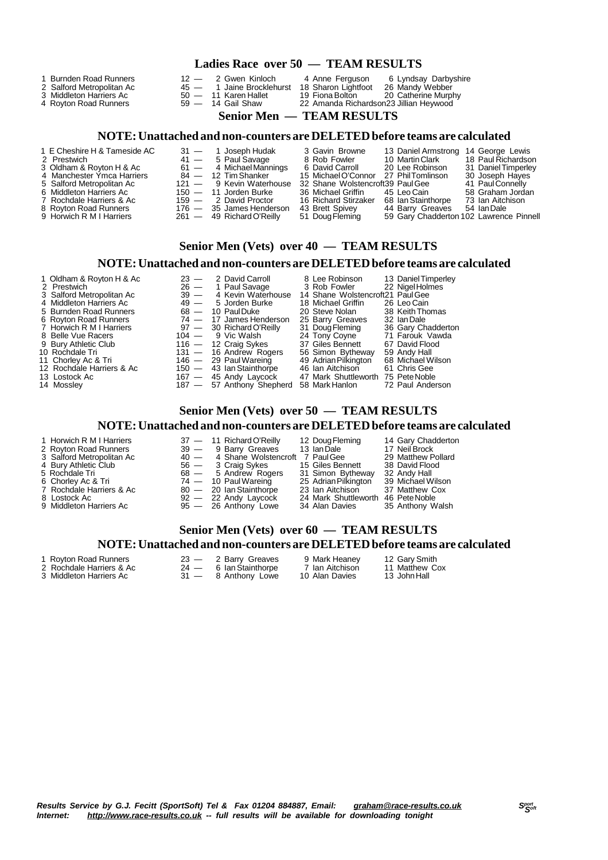#### **Ladies Race over 50 — TEAM RESULTS**

- 
- 
- 4 Royton Road Runners 59 14 Gail Shaw 22 Amanda Richardson23 Jillian Heywood
- 
- 
- 
- 
- 
- 
- 

- 
- 

1 Burnden Road Runners 12 - 2 Gwen Kinloch 14 Anne Ferguson 6 Lyndsay Darbyshire<br>2 Salford Metropolitan Ac 15 - 1 Jaine Brocklehurst 18 Sharon Lightfoot 26 Mandy Webber<br>3 Middleton Harriers Ac 50 - 11 Karen Hallet 19 Fiona 2 Salford Metropolitan Ac 45 — 1 Jaine Brocklehurst 18 Sharon Lightfoot 26 Mandy Webber 3 Middleton Harriers Ac 50 — 11 Karen Hallet 19 Fiona Bolton 20 Catherine Murphy

#### **Senior Men — TEAM RESULTS**

#### **NOTE:Unattached and non-counters are DELETEDbefore teams are calculated**

- 1 E Cheshire H & Tameside AC 31 1 Joseph Hudak 3 Gavin Browne 13 Daniel Armstrong 14 George Lewis
- 
- 3 Oldham & Royton H & Ac 61 4 MichaelMannings 6 David Carroll 20 Lee Robinson 31 DanielTimperley
- 4 Manchester Ymca Harriers 84 12 TimShanker 15 MichaelO'Connor 27 PhilTomlinson 30 Joseph Hayes
- 
- 
- 
- 
- 
- 
- 2 Prestwich 41 5 Paul Savage 8 Rob Fowler 10 MartinClark 18 Paul Richardson
	-
	-
- 8 Royton Road Runners 176 35 James Henderson 43 Brett Spivey<br>9 Horwich R M I Harriers 261 49 Richard O'Reilly 51 Doug Fleming
- 5 Salford Metropolitan Ac 121 9 Kevin Waterhouse 32 Shane Wolstencroft39 Paul Gee 41 Paul Connelly<br>6 Middleton Harriers Ac 150 11 Jorden Burke 36 Michael Griffin 45 Leo Cain 58 Graham Jordan<br>7 Rochdale Harriers & Ac 15 Middleton Harriers Ac 150 — 11 Jorden Burke 36 Michael Griffin 45 Leo Cain 58 Graham Jord<br>Rochdale Harriers & Ac 159 — 2 David Proctor 16 Richard Stirzaker 68 Ian Stainthorpe 73 Ian Aitchison 7 Rochdale Harriers & Ac 159 - 2 David Proctor 16 Richard Stirzaker 68 Ian Stainthorpe 73 Ian Aitchison Road Runners 176 - 35 James Henderson 43 Brett Spivey 44 Barry Greaves 54 Ian Dale
	- -
		-
		-
		-
		-
		-
- 
- -
- 
- -
	- 59 Gary Chadderton 102 Lawrence Pinnell

### **Senior Men (Vets) over 40 — TEAM RESULTS**

#### **NOTE:Unattached and non-counters are DELETEDbefore teams are calculated**

- 1 Oldham & Royton H & Ac 23 2 David Carroll 8 Lee Robinson 13 Daniel Timperley<br>2 Prestwich 22 Nigel Holmes 2 Prestwich 26 — 1 Paul Savage 3 Rob Fowler 22 Nigel Holmes<br>3 Salford Metropolitan Ac 39 — 4 Kevin Waterhouse 14 Shane Wolstencroft21 Paul Gee 3 Salford Metropolitan Ac 39 - 4 Kevin Waterhouse 14 Shane Wolstencroft21 PaulGee<br>
4 Middleton Harriers Ac 49 - 5 Jorden Burke 18 Michael Griffin 26 Leo Cain<br>
5 Burnden Road Runners 68 - 10 PaulDuke 20 Steve Nolan 38 Keith 4 Middleton Harriers Ac  $49 - 5$  Jorden Burke  $18$  Michael Griffin  $26$  Leo Cain<br>5 Burnden Road Runners 68 - 10 Paul Duke  $20$  Steve Nolan 38 Keith Thomas 5 Burnden Road Runners 68 - 10 PaulDuke 20 Steve Nolan 38 Keith Thomas 68 - 10 PaulDuke 20 Steve Nolan 38 Keith Th<br>6 Royton Road Runners 74 - 17 James Henderson 25 Barry Greaves 32 Ian Dale France Royton Road Runners 74 — 17 James Henderson 25 Barry Greave<br>
Horwich R M I Harriers 97 — 30 Richard O'Reilly 31 Doug Fleming<br>
Belle Vue Racers 104 — 9 Vic Walsh 24 Tony Coyne 7 Horwich R M I Harriers 97 — 30 RichardO'Reilly 31 DougFleming 36 Gary Chadderton 8 Belle Vue Racers 104 — 9 Vic Walsh 24 Tony Coyne 71 Farouk Vawda 9 Bury Athletic Club 116 — 12 Craig Sykes 37 Giles Bennett 67 David Flood<br>10 Rochdale Tri 131 — 16 Andrew Rogers 56 Simon Bytheway 59 Andy Hall 10 Rochdale Tri 131 — 16 Andrew Rogers 56 Simon Bytheway 59 Andy Hall 11 Chorley Ac & Tri 146 — 29 PaulWareing 49 AdrianPilkington 68 Michael Wilson
- 
- 
- 
- 
- 
- 
- 

11 Chorley Ac & Tri<br>
12 Rochdale Harriers & Ac 150  $-$  43 Ian Stainthorpe 46 Ian Aitchison 61 Chris Gee<br>
13 Lostock Ac 167  $-$  45 Andy Laycock 47 Mark Shuttleworth 75 Pete Noble<br>
14 Mossley 187  $-$  57 Anthony Shepherd 58 M 13 Lostock Ac 167 — 45 Andy Laycock 47 Mark Shuttleworth 75 PeteNoble 14 Mossley 187 — 57 Anthony Shepherd 58 MarkHanlon 72 Paul Anderson

# **Senior Men (Vets) over 50 — TEAM RESULTS**

### **NOTE:Unattached and non-counters are DELETEDbefore teams are calculated**

| 1 Horwich R M I Harriers  |  | $37 - 11$ Richard O'Reilly           | 12 Doug Fleming                    | 14 Gary Chadderton |
|---------------------------|--|--------------------------------------|------------------------------------|--------------------|
| 2 Royton Road Runners     |  | 39 - 9 Barry Greaves                 | 13 Ian Dale                        | 17 Neil Brock      |
| 3 Salford Metropolitan Ac |  | 40 - 4 Shane Wolstencroft 7 Paul Gee |                                    | 29 Matthew Pollard |
| 4 Bury Athletic Club      |  | 56 — 3 Craig Sykes                   | 15 Giles Bennett                   | 38 David Flood     |
| 5 Rochdale Tri            |  | 68 - 5 Andrew Rogers                 | 31 Simon Bytheway                  | 32 Andy Hall       |
| 6 Chorley Ac & Tri        |  | 74 — 10 Paul Wareing                 | 25 Adrian Pilkington               | 39 Michael Wilson  |
| 7 Rochdale Harriers & Ac  |  | 80 - 20 Ian Stainthorpe              | 23 Ian Aitchison                   | 37 Matthew Cox     |
| 8 Lostock Ac              |  | $92 - 22$ Andy Laycock               | 24 Mark Shuttleworth 46 Pete Noble |                    |
| 9 Middleton Harriers Ac   |  | $95 - 26$ Anthony Lowe               | 34 Alan Davies                     | 35 Anthony Walsh   |

### **Senior Men (Vets) over 60 — TEAM RESULTS NOTE:Unattached and non-counters are DELETEDbefore teams are calculated**

1 Royton Road Runners 23 — 2 Barry Greaves 9 Mark Heaney 12 Gary Smith

- 3 Middleton Harriers Ac
- Prochdale Harriers & Ac  $\overline{24}$  6 Ian Stainthorpe 7 Ian Aitchison 11 Matthew Middleton Harriers Ac 31 8 Anthony Lowe 10 Alan Davies 13 John Hall

- - -
		- - -
		-
- 
- 
- 

- -